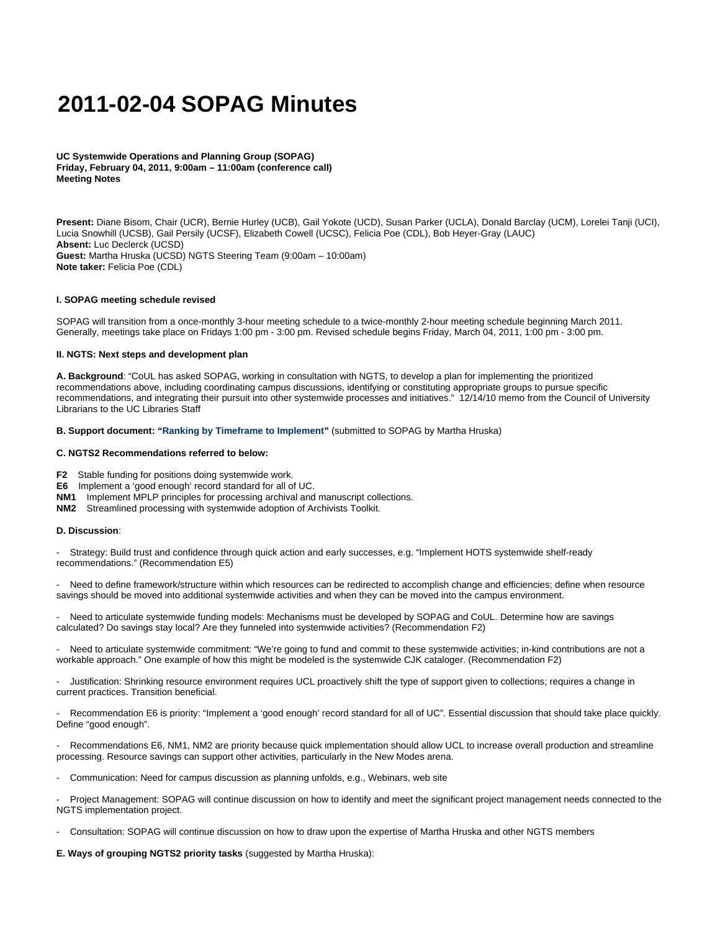# **2011-02-04 SOPAG Minutes**

**UC Systemwide Operations and Planning Group (SOPAG) Friday, February 04, 2011, 9:00am – 11:00am (conference call) Meeting Notes**

**Present:** Diane Bisom, Chair (UCR), Bernie Hurley (UCB), Gail Yokote (UCD), Susan Parker (UCLA), Donald Barclay (UCM), Lorelei Tanji (UCI), Lucia Snowhill (UCSB), Gail Persily (UCSF), Elizabeth Cowell (UCSC), Felicia Poe (CDL), Bob Heyer-Gray (LAUC) **Absent:** Luc Declerck (UCSD) **Guest:** Martha Hruska (UCSD) NGTS Steering Team (9:00am – 10:00am) **Note taker:** Felicia Poe (CDL)

## **I. SOPAG meeting schedule revised**

SOPAG will transition from a once-monthly 3-hour meeting schedule to a twice-monthly 2-hour meeting schedule beginning March 2011. Generally, meetings take place on Fridays 1:00 pm - 3:00 pm. Revised schedule begins Friday, March 04, 2011, 1:00 pm - 3:00 pm.

## **II. NGTS: Next steps and development plan**

**A. Background**: "CoUL has asked SOPAG, working in consultation with NGTS, to develop a plan for implementing the prioritized recommendations above, including coordinating campus discussions, identifying or constituting appropriate groups to pursue specific recommendations, and integrating their pursuit into other systemwide processes and initiatives." 12/14/10 memo from the Council of University Librarians to the UC Libraries Staff

**B. Support document: ["Ranking by Timeframe to Implement"](https://wiki.library.ucsf.edu/download/attachments/39387323/NGTS_Impl_sort_Hruska.xlsx?version=1&modificationDate=1296852622000)** (submitted to SOPAG by Martha Hruska)

#### **C. NGTS2 Recommendations referred to below:**

- **F2** Stable funding for positions doing systemwide work.
- **E6** Implement a 'good enough' record standard for all of UC.
- **NM1** Implement MPLP principles for processing archival and manuscript collections.
- **NM2** Streamlined processing with systemwide adoption of Archivists Toolkit.

# **D. Discussion**:

- Strategy: Build trust and confidence through quick action and early successes, e.g. "Implement HOTS systemwide shelf-ready recommendations." (Recommendation E5)

Need to define framework/structure within which resources can be redirected to accomplish change and efficiencies; define when resource savings should be moved into additional systemwide activities and when they can be moved into the campus environment.

Need to articulate systemwide funding models: Mechanisms must be developed by SOPAG and CoUL. Determine how are savings calculated? Do savings stay local? Are they funneled into systemwide activities? (Recommendation F2)

Need to articulate systemwide commitment: "We're going to fund and commit to these systemwide activities; in-kind contributions are not a workable approach." One example of how this might be modeled is the systemwide CJK cataloger. (Recommendation F2)

- Justification: Shrinking resource environment requires UCL proactively shift the type of support given to collections; requires a change in current practices. Transition beneficial.

- Recommendation E6 is priority: "Implement a 'good enough' record standard for all of UC". Essential discussion that should take place quickly. Define "good enough".

Recommendations E6, NM1, NM2 are priority because quick implementation should allow UCL to increase overall production and streamline processing. Resource savings can support other activities, particularly in the New Modes arena.

Communication: Need for campus discussion as planning unfolds, e.g., Webinars, web site

Project Management: SOPAG will continue discussion on how to identify and meet the significant project management needs connected to the NGTS implementation project.

- Consultation: SOPAG will continue discussion on how to draw upon the expertise of Martha Hruska and other NGTS members

**E. Ways of grouping NGTS2 priority tasks** (suggested by Martha Hruska):